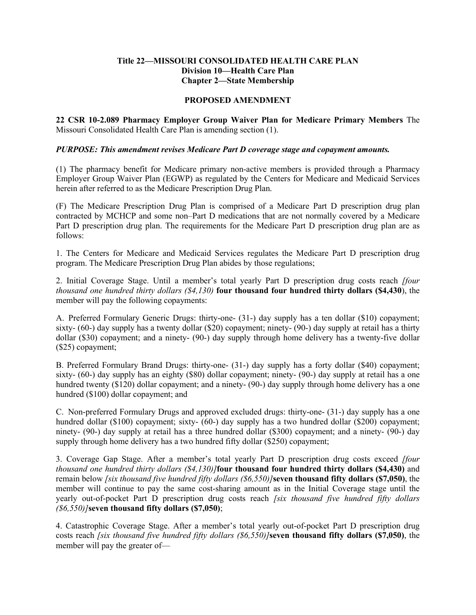## **Title 22—MISSOURI CONSOLIDATED HEALTH CARE PLAN Division 10—Health Care Plan Chapter 2—State Membership**

## **PROPOSED AMENDMENT**

**22 CSR 10-2.089 Pharmacy Employer Group Waiver Plan for Medicare Primary Members** The Missouri Consolidated Health Care Plan is amending section (1).

## *PURPOSE: This amendment revises Medicare Part D coverage stage and copayment amounts.*

(1) The pharmacy benefit for Medicare primary non-active members is provided through a Pharmacy Employer Group Waiver Plan (EGWP) as regulated by the Centers for Medicare and Medicaid Services herein after referred to as the Medicare Prescription Drug Plan.

(F) The Medicare Prescription Drug Plan is comprised of a Medicare Part D prescription drug plan contracted by MCHCP and some non–Part D medications that are not normally covered by a Medicare Part D prescription drug plan. The requirements for the Medicare Part D prescription drug plan are as follows:

1. The Centers for Medicare and Medicaid Services regulates the Medicare Part D prescription drug program. The Medicare Prescription Drug Plan abides by those regulations;

2. Initial Coverage Stage. Until a member's total yearly Part D prescription drug costs reach *[four thousand one hundred thirty dollars (\$4,130)* **four thousand four hundred thirty dollars (\$4,430**), the member will pay the following copayments:

A. Preferred Formulary Generic Drugs: thirty-one- (31-) day supply has a ten dollar (\$10) copayment; sixty- (60-) day supply has a twenty dollar (\$20) copayment; ninety- (90-) day supply at retail has a thirty dollar (\$30) copayment; and a ninety- (90-) day supply through home delivery has a twenty-five dollar (\$25) copayment;

B. Preferred Formulary Brand Drugs: thirty-one- (31-) day supply has a forty dollar (\$40) copayment; sixty- (60-) day supply has an eighty (\$80) dollar copayment; ninety- (90-) day supply at retail has a one hundred twenty (\$120) dollar copayment; and a ninety- (90-) day supply through home delivery has a one hundred (\$100) dollar copayment; and

C. Non-preferred Formulary Drugs and approved excluded drugs: thirty-one- (31-) day supply has a one hundred dollar (\$100) copayment; sixty- (60-) day supply has a two hundred dollar (\$200) copayment; ninety- (90-) day supply at retail has a three hundred dollar (\$300) copayment; and a ninety- (90-) day supply through home delivery has a two hundred fifty dollar (\$250) copayment;

3. Coverage Gap Stage. After a member's total yearly Part D prescription drug costs exceed *[four thousand one hundred thirty dollars (\$4,130)]***four thousand four hundred thirty dollars (\$4,430)** and remain below *[six thousand five hundred fifty dollars (\$6,550)]***seven thousand fifty dollars (\$7,050)**, the member will continue to pay the same cost-sharing amount as in the Initial Coverage stage until the yearly out-of-pocket Part D prescription drug costs reach *[six thousand five hundred fifty dollars (\$6,550)]***seven thousand fifty dollars (\$7,050)**;

4. Catastrophic Coverage Stage. After a member's total yearly out-of-pocket Part D prescription drug costs reach *[six thousand five hundred fifty dollars (\$6,550)]***seven thousand fifty dollars (\$7,050)**, the member will pay the greater of—